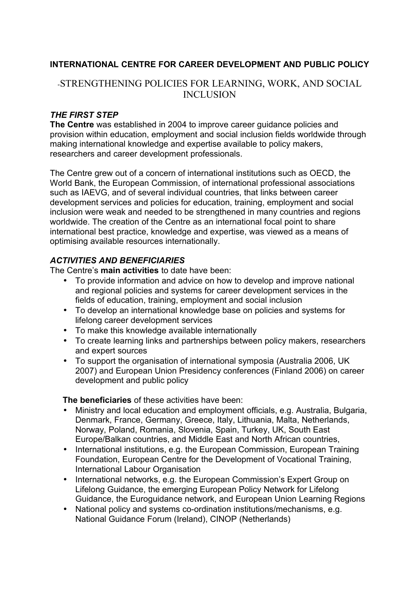### **INTERNATIONAL CENTRE FOR CAREER DEVELOPMENT AND PUBLIC POLICY**

# -STRENGTHENING POLICIES FOR LEARNING, WORK, AND SOCIAL INCLUSION

#### *THE FIRST STEP*

**The Centre** was established in 2004 to improve career guidance policies and provision within education, employment and social inclusion fields worldwide through making international knowledge and expertise available to policy makers, researchers and career development professionals.

The Centre grew out of a concern of international institutions such as OECD, the World Bank, the European Commission, of international professional associations such as IAEVG, and of several individual countries, that links between career development services and policies for education, training, employment and social inclusion were weak and needed to be strengthened in many countries and regions worldwide. The creation of the Centre as an international focal point to share international best practice, knowledge and expertise, was viewed as a means of optimising available resources internationally.

#### *ACTIVITIES AND BENEFICIARIES*

The Centre's **main activities** to date have been:

- To provide information and advice on how to develop and improve national and regional policies and systems for career development services in the fields of education, training, employment and social inclusion
- To develop an international knowledge base on policies and systems for lifelong career development services
- To make this knowledge available internationally
- To create learning links and partnerships between policy makers, researchers and expert sources
- To support the organisation of international symposia (Australia 2006, UK 2007) and European Union Presidency conferences (Finland 2006) on career development and public policy

#### **The beneficiaries** of these activities have been:

- Ministry and local education and employment officials, e.g. Australia, Bulgaria, Denmark, France, Germany, Greece, Italy, Lithuania, Malta, Netherlands, Norway, Poland, Romania, Slovenia, Spain, Turkey, UK, South East Europe/Balkan countries, and Middle East and North African countries,
- International institutions, e.g. the European Commission, European Training Foundation, European Centre for the Development of Vocational Training, International Labour Organisation
- International networks, e.g. the European Commission's Expert Group on Lifelong Guidance, the emerging European Policy Network for Lifelong Guidance, the Euroguidance network, and European Union Learning Regions
- National policy and systems co-ordination institutions/mechanisms, e.g. National Guidance Forum (Ireland), CINOP (Netherlands)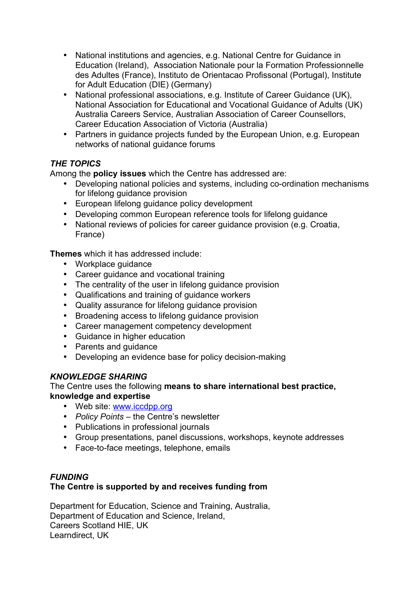- National institutions and agencies, e.g. National Centre for Guidance in Education (Ireland), Association Nationale pour la Formation Professionnelle des Adultes (France), Instituto de Orientacao Profissonal (Portugal), Institute for Adult Education (DIE) (Germany)
- National professional associations, e.g. Institute of Career Guidance (UK), National Association for Educational and Vocational Guidance of Adults (UK) Australia Careers Service, Australian Association of Career Counsellors, Career Education Association of Victoria (Australia)
- Partners in guidance projects funded by the European Union, e.g. European networks of national guidance forums

## *THE TOPICS*

Among the **policy issues** which the Centre has addressed are:

- Developing national policies and systems, including co-ordination mechanisms for lifelong guidance provision
- European lifelong guidance policy development
- Developing common European reference tools for lifelong guidance
- National reviews of policies for career guidance provision (e.g. Croatia, France)

**Themes** which it has addressed include:

- Workplace quidance
- Career guidance and vocational training
- The centrality of the user in lifelong guidance provision
- Qualifications and training of guidance workers
- Quality assurance for lifelong guidance provision
- Broadening access to lifelong guidance provision
- Career management competency development
- Guidance in higher education
- Parents and quidance
- Developing an evidence base for policy decision-making

## *KNOWLEDGE SHARING*

The Centre uses the following **means to share international best practice, knowledge and expertise**

- Web site: [www.iccdpp.org](http://www.iccdpp.org/)
- *Policy Points* the Centre's newsletter
- Publications in professional journals
- Group presentations, panel discussions, workshops, keynote addresses
- Face-to-face meetings, telephone, emails

#### *FUNDING* **The Centre is supported by and receives funding from**

Department for Education, Science and Training, Australia, Department of Education and Science, Ireland, Careers Scotland HIE, UK Learndirect, UK